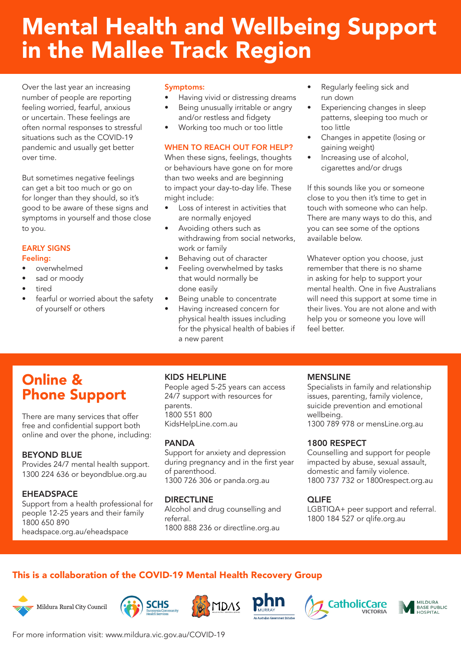# Mental Health and Wellbeing Support in the Mallee Track Region

Over the last year an increasing number of people are reporting feeling worried, fearful, anxious or uncertain. These feelings are often normal responses to stressful situations such as the COVID-19 pandemic and usually get better over time.

But sometimes negative feelings can get a bit too much or go on for longer than they should, so it's good to be aware of these signs and symptoms in yourself and those close to you.

# EARLY SIGNS

#### Feeling:

- overwhelmed
- sad or moody
- tired
- fearful or worried about the safety of yourself or others

#### Symptoms:

- Having vivid or distressing dreams
- Being unusually irritable or angry and/or restless and fidgety
- Working too much or too little

#### WHEN TO REACH OUT FOR HELP?

When these signs, feelings, thoughts or behaviours have gone on for more than two weeks and are beginning to impact your day-to-day life. These might include:

- Loss of interest in activities that are normally enjoyed
- Avoiding others such as withdrawing from social networks, work or family
- Behaving out of character
- Feeling overwhelmed by tasks that would normally be done easily
- Being unable to concentrate
- Having increased concern for physical health issues including for the physical health of babies if a new parent
- Regularly feeling sick and run down
- Experiencing changes in sleep patterns, sleeping too much or too little
- Changes in appetite (losing or gaining weight)
- Increasing use of alcohol, cigarettes and/or drugs

If this sounds like you or someone close to you then it's time to get in touch with someone who can help. There are many ways to do this, and you can see some of the options available below.

Whatever option you choose, just remember that there is no shame in asking for help to support your mental health. One in five Australians will need this support at some time in their lives. You are not alone and with help you or someone you love will feel better.

# Online & Phone Support

There are many services that offer free and confidential support both online and over the phone, including:

## BEYOND BLUE

Provides 24/7 mental health support. 1300 224 636 or beyondblue.org.au

# **EHEADSPACE**

Support from a health professional for people 12-25 years and their family 1800 650 890

headspace.org.au/eheadspace

# KIDS HELPLINE

People aged 5-25 years can access 24/7 support with resources for parents. 1800 551 800 KidsHelpLine.com.au

## PANDA

Support for anxiety and depression during pregnancy and in the first year of parenthood. 1300 726 306 or panda.org.au

# DIRECTLINE

Alcohol and drug counselling and referral. 1800 888 236 or directline.org.au

#### MENSLINE

Specialists in family and relationship issues, parenting, family violence, suicide prevention and emotional wellbeing. 1300 789 978 or mensLine.org.au

## 1800 RESPECT

Counselling and support for people impacted by abuse, sexual assault, domestic and family violence. 1800 737 732 or 1800respect.org.au

## **QLIFE**

LGBTIQA+ peer support and referral. 1800 184 527 or qlife.org.au

# This is a collaboration of the COVID-19 Mental Health Recovery Group















For more information visit: www.mildura.vic.gov.au/COVID-19